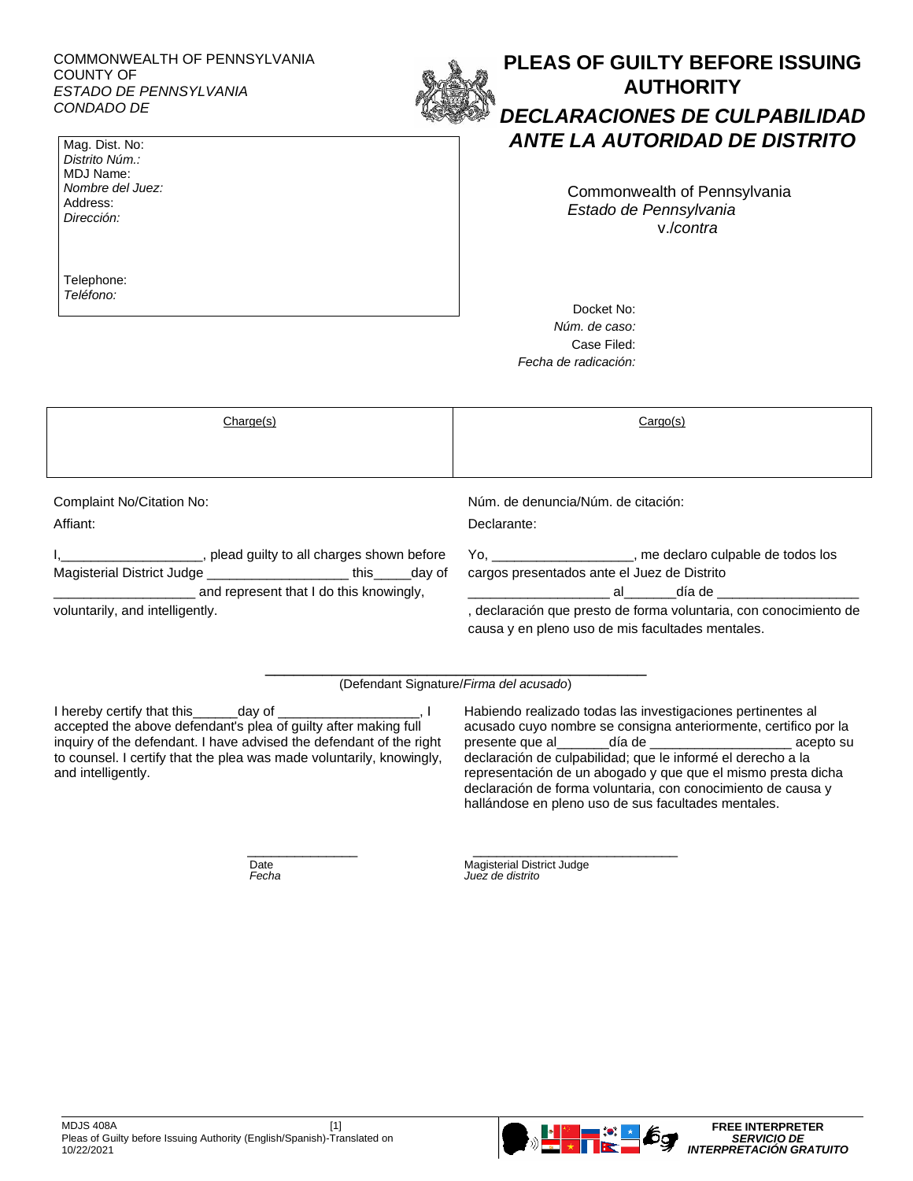## COMMONWEALTH OF PENNSYLVANIA COUNTY OF *ESTADO DE PENNSYLVANIA CONDADO DE*



### Mag. Dist. No: *Distrito Núm.:*  MDJ Name: *Nombre del Juez:*  Address: *Dirección:*

Telephone: *Teléfono:*

# **PLEAS OF GUILTY BEFORE ISSUING AUTHORITY** *DECLARACIONES DE CULPABILIDAD ANTE LA AUTORIDAD DE DISTRITO*

Commonwealth of Pennsylvania *Estado de Pennsylvania* v./*contra*

Docket No: *Núm. de caso:* Case Filed: *Fecha de radicación:*

| Change(s)                                                                                                                                                                                            | Cargo(s)                                                                                                                                                                                                                                                                                                                                               |
|------------------------------------------------------------------------------------------------------------------------------------------------------------------------------------------------------|--------------------------------------------------------------------------------------------------------------------------------------------------------------------------------------------------------------------------------------------------------------------------------------------------------------------------------------------------------|
|                                                                                                                                                                                                      |                                                                                                                                                                                                                                                                                                                                                        |
| Complaint No/Citation No:<br>Affiant:                                                                                                                                                                | Núm, de denuncia/Núm, de citación:<br>Declarante:                                                                                                                                                                                                                                                                                                      |
| plead guilty to all charges shown before<br>Magisterial District Judge ___________________________ this _______ day of<br>and represent that I do this knowingly,<br>voluntarily, and intelligently. | Yo, ______________________, me declaro culpable de todos los<br>cargos presentados ante el Juez de Distrito<br>en de la contrata del contrata de la contrata de la contrata de la contrata de la contrata del contrata del co<br>, declaración que presto de forma voluntaria, con conocimiento de<br>causa y en pleno uso de mis facultades mentales. |

(Defendant Signature/*Firma del acusado*)

I hereby certify that this\_\_\_\_\_\_day of \_\_\_\_\_\_\_\_\_\_\_\_\_\_\_\_\_\_\_, I accepted the above defendant's plea of guilty after making full inquiry of the defendant. I have advised the defendant of the right to counsel. I certify that the plea was made voluntarily, knowingly, and intelligently.

Habiendo realizado todas las investigaciones pertinentes al acusado cuyo nombre se consigna anteriormente, certifico por la presente que al día de el presente que al día de el presente que al día de el presente que al día de el present declaración de culpabilidad; que le informé el derecho a la representación de un abogado y que que el mismo presta dicha declaración de forma voluntaria, con conocimiento de causa y hallándose en pleno uso de sus facultades mentales.

 $\frac{1}{2}$  , and the set of the set of the set of the set of the set of the set of the set of the set of the set of the set of the set of the set of the set of the set of the set of the set of the set of the set of the set Date Magisterial District Judge<br>
Fecha Contract Magisterial District Judge *Fecha Juez de distrito*